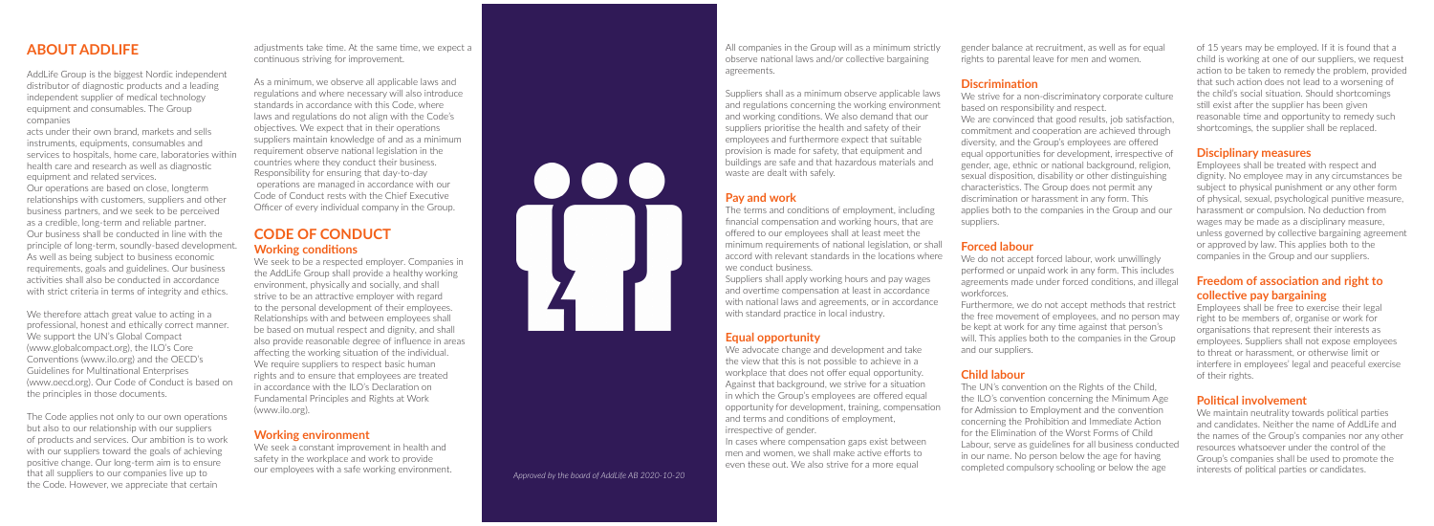# **ABOUT ADDLIFE**

AddLife Group is the biggest Nordic independent distributor of diagnostic products and a leading independent supplier of medical technology equipment and consumables. The Group companies

acts under their own brand, markets and sells instruments, equipments, consumables and services to hospitals, home care, laboratories within health care and research as well as diagnostic equipment and related services. Our operations are based on close, longterm relationships with customers, suppliers and other business partners, and we seek to be perceived as a credible, long-term and reliable partner. Our business shall be conducted in line with the principle of long-term, soundly-based development. As well as being subject to business economic requirements, goals and guidelines. Our business activities shall also be conducted in accordance with strict criteria in terms of integrity and ethics.

We therefore attach great value to acting in a professional, honest and ethically correct manner. We support the UN's Global Compact (www.globalcompact.org), the ILO's Core Conventions (www.ilo.org) and the OECD's Guidelines for Multinational Enterprises (www.oecd.org). Our Code of Conduct is based on the principles in those documents.

The Code applies not only to our own operations but also to our relationship with our suppliers of products and services. Our ambition is to work with our suppliers toward the goals of achieving positive change. Our long-term aim is to ensure that all suppliers to our companies live up to the Code. However, we appreciate that certain

adjustments take time. At the same time, we expect a continuous striving for improvement.

As a minimum, we observe all applicable laws and regulations and where necessary will also introduce standards in accordance with this Code, where laws and regulations do not align with the Code's objectives. We expect that in their operations suppliers maintain knowledge of and as a minimum requirement observe national legislation in the countries where they conduct their business. Responsibility for ensuring that day-to-day operations are managed in accordance with our Code of Conduct rests with the Chief Executive Officer of every individual company in the Group.

# **CODE OF CONDUCT Working conditions**

We seek to be a respected employer. Companies in the AddLife Group shall provide a healthy working environment, physically and socially, and shall strive to be an attractive employer with regard to the personal development of their employees. Relationships with and between employees shall be based on mutual respect and dignity, and shall also provide reasonable degree of influence in areas affecting the working situation of the individual. We require suppliers to respect basic human rights and to ensure that employees are treated in accordance with the ILO's Declaration on Fundamental Principles and Rights at Work (www.ilo.org).

#### **Working environment**

We seek a constant improvement in health and safety in the workplace and work to provide our employees with a safe working environment.

All companies in the Group will as a minimum strictly observe national laws and/or collective bargaining agreements.

#### Suppliers shall as a minimum observe applicable laws and regulations concerning the working environment and working conditions. We also demand that our suppliers prioritise the health and safety of their employees and furthermore expect that suitable provision is made for safety, that equipment and buildings are safe and that hazardous materials and waste are dealt with safely.

#### **Pay and work**

The terms and conditions of employment, including financial compensation and working hours, that are offered to our employees shall at least meet the minimum requirements of national legislation, or shall accord with relevant standards in the locations where we conduct business.

Suppliers shall apply working hours and pay wages and overtime compensation at least in accordance with national laws and agreements, or in accordance with standard practice in local industry.

#### **Equal opportunity**

We advocate change and development and take the view that this is not possible to achieve in a workplace that does not offer equal opportunity. Against that background, we strive for a situation in which the Group's employees are offered equal opportunity for development, training, compensation and terms and conditions of employment, irrespective of gender.

In cases where compensation gaps exist between men and women, we shall make active efforts to even these out. We also strive for a more equal

gender balance at recruitment, as well as for equal rights to parental leave for men and women.

# **Discrimination**

We strive for a non-discriminatory corporate culture based on responsibility and respect. We are convinced that good results, job satisfaction, commitment and cooperation are achieved through diversity, and the Group's employees are offered equal opportunities for development, irrespective of gender, age, ethnic or national background, religion, sexual disposition, disability or other distinguishing characteristics. The Group does not permit any discrimination or harassment in any form. This applies both to the companies in the Group and our suppliers.

#### **Forced labour**

We do not accept forced labour, work unwillingly performed or unpaid work in any form. This includes agreements made under forced conditions, and illegal workforces.

Furthermore, we do not accept methods that restrict the free movement of employees, and no person may be kept at work for any time against that person's will. This applies both to the companies in the Group and our suppliers.

#### **Child labour**

The UN's convention on the Rights of the Child, the ILO's convention concerning the Minimum Age for Admission to Employment and the convention concerning the Prohibition and Immediate Action for the Elimination of the Worst Forms of Child Labour, serve as guidelines for all business conducted in our name. No person below the age for having completed compulsory schooling or below the age



of 15 years may be employed. If it is found that a child is working at one of our suppliers, we request action to be taken to remedy the problem, provided that such action does not lead to a worsening of the child's social situation. Should shortcomings still exist after the supplier has been given reasonable time and opportunity to remedy such shortcomings, the supplier shall be replaced.

#### **Disciplinary measures**

Employees shall be treated with respect and dignity. No employee may in any circumstances be subject to physical punishment or any other form of physical, sexual, psychological punitive measure, harassment or compulsion. No deduction from wages may be made as a disciplinary measure, unless governed by collective bargaining agreement or approved by law. This applies both to the companies in the Group and our suppliers.

# **Freedom of association and right to collective pay bargaining**

Employees shall be free to exercise their legal right to be members of, organise or work for organisations that represent their interests as employees. Suppliers shall not expose employees to threat or harassment, or otherwise limit or interfere in employees' legal and peaceful exercise of their rights.

# **Political involvement**

We maintain neutrality towards political parties and candidates. Neither the name of AddLife and the names of the Group's companies nor any other resources whatsoever under the control of the Group's companies shall be used to promote the